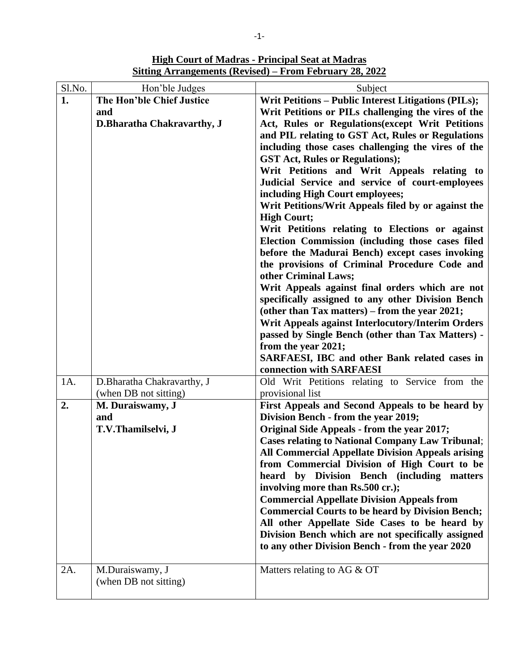| <b>High Court of Madras - Principal Seat at Madras</b><br>Sitting Arrangements (Revised) – From February 28, 2022 |                           |                                                  |
|-------------------------------------------------------------------------------------------------------------------|---------------------------|--------------------------------------------------|
| Sl.No.                                                                                                            | Hon'ble Judges            | Subject                                          |
|                                                                                                                   | The Hon'ble Chief Justice | Writ Petitions – Public Interest Litigations (1) |
|                                                                                                                   | and                       | Writ Petitions or PILs challenging the vires     |
|                                                                                                                   | D Rharatha Chakravarthy J | Act Rules or Regulations except Writ P           |

 $\overline{\phantom{a}}$ 

| <b>High Court of Madras - Principal Seat at Madras</b>  |  |  |
|---------------------------------------------------------|--|--|
| Sitting Arrangements (Revised) – From February 28, 2022 |  |  |

| 1.  | The Hon'ble Chief Justice   | Writ Petitions – Public Interest Litigations (PILs);     |
|-----|-----------------------------|----------------------------------------------------------|
|     | and                         | Writ Petitions or PILs challenging the vires of the      |
|     | D.Bharatha Chakravarthy, J  | Act, Rules or Regulations (except Writ Petitions         |
|     |                             | and PIL relating to GST Act, Rules or Regulations        |
|     |                             | including those cases challenging the vires of the       |
|     |                             | <b>GST Act, Rules or Regulations);</b>                   |
|     |                             | Writ Petitions and Writ Appeals relating to              |
|     |                             | Judicial Service and service of court-employees          |
|     |                             | including High Court employees;                          |
|     |                             | Writ Petitions/Writ Appeals filed by or against the      |
|     |                             | <b>High Court;</b>                                       |
|     |                             | Writ Petitions relating to Elections or against          |
|     |                             | Election Commission (including those cases filed         |
|     |                             | before the Madurai Bench) except cases invoking          |
|     |                             | the provisions of Criminal Procedure Code and            |
|     |                             | other Criminal Laws;                                     |
|     |                             | Writ Appeals against final orders which are not          |
|     |                             | specifically assigned to any other Division Bench        |
|     |                             | (other than Tax matters) – from the year 2021;           |
|     |                             | <b>Writ Appeals against Interlocutory/Interim Orders</b> |
|     |                             | passed by Single Bench (other than Tax Matters) -        |
|     |                             | from the year 2021;                                      |
|     |                             | SARFAESI, IBC and other Bank related cases in            |
|     |                             | connection with SARFAESI                                 |
| 1A. | D. Bharatha Chakravarthy, J | Old Writ Petitions relating to Service from the          |
|     | (when DB not sitting)       | provisional list                                         |
| 2.  | M. Duraiswamy, J            | First Appeals and Second Appeals to be heard by          |
|     | and                         | Division Bench - from the year 2019;                     |
|     | T.V.Thamilselvi, J          | Original Side Appeals - from the year 2017;              |
|     |                             | <b>Cases relating to National Company Law Tribunal;</b>  |
|     |                             | <b>All Commercial Appellate Division Appeals arising</b> |
|     |                             | from Commercial Division of High Court to be             |
|     |                             | heard by Division Bench (including matters               |
|     |                             | involving more than Rs.500 cr.);                         |
|     |                             | <b>Commercial Appellate Division Appeals from</b>        |
|     |                             | <b>Commercial Courts to be heard by Division Bench;</b>  |
|     |                             | All other Appellate Side Cases to be heard by            |
|     |                             | Division Bench which are not specifically assigned       |
|     |                             | to any other Division Bench - from the year 2020         |
|     |                             |                                                          |
| 2A. | M.Duraiswamy, J             | Matters relating to AG $&$ OT                            |
|     | (when DB not sitting)       |                                                          |
|     |                             |                                                          |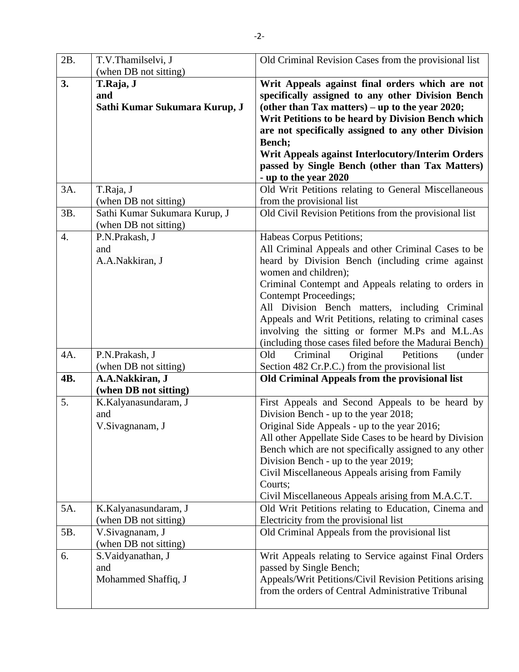| 2B.              | T.V.Thamilselvi, J            | Old Criminal Revision Cases from the provisional list    |
|------------------|-------------------------------|----------------------------------------------------------|
|                  | (when DB not sitting)         |                                                          |
| 3.               | T.Raja, J                     | Writ Appeals against final orders which are not          |
|                  | and                           | specifically assigned to any other Division Bench        |
|                  | Sathi Kumar Sukumara Kurup, J | (other than Tax matters) – up to the year $2020$ ;       |
|                  |                               | Writ Petitions to be heard by Division Bench which       |
|                  |                               | are not specifically assigned to any other Division      |
|                  |                               | Bench;                                                   |
|                  |                               | <b>Writ Appeals against Interlocutory/Interim Orders</b> |
|                  |                               | passed by Single Bench (other than Tax Matters)          |
|                  |                               | - up to the year 2020                                    |
| 3A.              | T.Raja, J                     | Old Writ Petitions relating to General Miscellaneous     |
|                  | (when DB not sitting)         | from the provisional list                                |
| 3B.              | Sathi Kumar Sukumara Kurup, J | Old Civil Revision Petitions from the provisional list   |
|                  | (when DB not sitting)         |                                                          |
| $\overline{4}$ . | P.N.Prakash, J                | Habeas Corpus Petitions;                                 |
|                  | and                           | All Criminal Appeals and other Criminal Cases to be      |
|                  | A.A.Nakkiran, J               | heard by Division Bench (including crime against         |
|                  |                               | women and children);                                     |
|                  |                               | Criminal Contempt and Appeals relating to orders in      |
|                  |                               | Contempt Proceedings;                                    |
|                  |                               | All Division Bench matters, including Criminal           |
|                  |                               | Appeals and Writ Petitions, relating to criminal cases   |
|                  |                               | involving the sitting or former M.Ps and M.L.As          |
|                  |                               | (including those cases filed before the Madurai Bench)   |
| 4A.              | P.N.Prakash, J                | Criminal<br>Original<br>Petitions<br>Old<br>(under       |
|                  | (when DB not sitting)         | Section 482 Cr.P.C.) from the provisional list           |
| 4B.              | A.A.Nakkiran, J               | Old Criminal Appeals from the provisional list           |
|                  | (when DB not sitting)         |                                                          |
| 5.               | K.Kalyanasundaram, J          | First Appeals and Second Appeals to be heard by          |
|                  | and                           | Division Bench - up to the year 2018;                    |
|                  | V.Sivagnanam, J               | Original Side Appeals - up to the year 2016;             |
|                  |                               | All other Appellate Side Cases to be heard by Division   |
|                  |                               | Bench which are not specifically assigned to any other   |
|                  |                               | Division Bench - up to the year 2019;                    |
|                  |                               | Civil Miscellaneous Appeals arising from Family          |
|                  |                               | Courts;                                                  |
|                  |                               | Civil Miscellaneous Appeals arising from M.A.C.T.        |
| 5A.              | K.Kalyanasundaram, J          | Old Writ Petitions relating to Education, Cinema and     |
|                  | (when DB not sitting)         | Electricity from the provisional list                    |
| 5B.              | V.Sivagnanam, J               | Old Criminal Appeals from the provisional list           |
|                  | (when DB not sitting)         |                                                          |
| 6.               | S. Vaidyanathan, J            | Writ Appeals relating to Service against Final Orders    |
|                  | and                           | passed by Single Bench;                                  |
|                  | Mohammed Shaffiq, J           | Appeals/Writ Petitions/Civil Revision Petitions arising  |
|                  |                               | from the orders of Central Administrative Tribunal       |
|                  |                               |                                                          |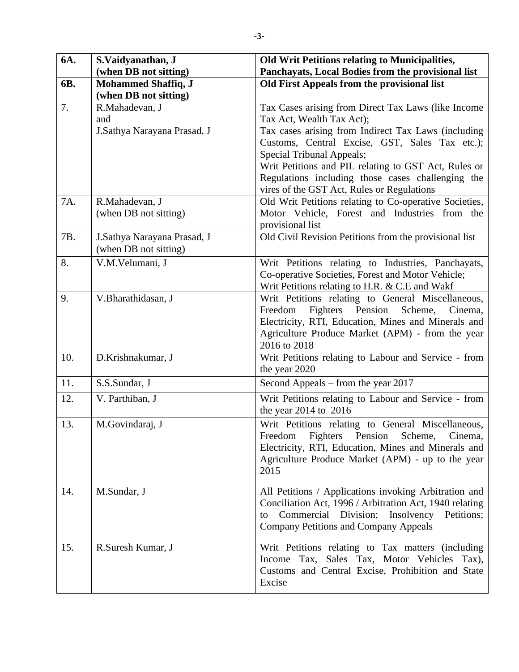| 6A.       | S.Vaidyanathan, J                                                                               | <b>Old Writ Petitions relating to Municipalities,</b>                                                                                                                                                                                                                                                                                                                                                                                                                                        |
|-----------|-------------------------------------------------------------------------------------------------|----------------------------------------------------------------------------------------------------------------------------------------------------------------------------------------------------------------------------------------------------------------------------------------------------------------------------------------------------------------------------------------------------------------------------------------------------------------------------------------------|
|           | (when DB not sitting)                                                                           | Panchayats, Local Bodies from the provisional list                                                                                                                                                                                                                                                                                                                                                                                                                                           |
| 6B.       | <b>Mohammed Shaffiq, J</b><br>(when DB not sitting)                                             | Old First Appeals from the provisional list                                                                                                                                                                                                                                                                                                                                                                                                                                                  |
| 7.<br>7A. | R.Mahadevan, J<br>and<br>J.Sathya Narayana Prasad, J<br>R.Mahadevan, J<br>(when DB not sitting) | Tax Cases arising from Direct Tax Laws (like Income<br>Tax Act, Wealth Tax Act);<br>Tax cases arising from Indirect Tax Laws (including<br>Customs, Central Excise, GST, Sales Tax etc.);<br>Special Tribunal Appeals;<br>Writ Petitions and PIL relating to GST Act, Rules or<br>Regulations including those cases challenging the<br>vires of the GST Act, Rules or Regulations<br>Old Writ Petitions relating to Co-operative Societies,<br>Motor Vehicle, Forest and Industries from the |
| 7B.       | J.Sathya Narayana Prasad, J<br>(when DB not sitting)                                            | provisional list<br>Old Civil Revision Petitions from the provisional list                                                                                                                                                                                                                                                                                                                                                                                                                   |
| 8.        | V.M.Velumani, J                                                                                 | Writ Petitions relating to Industries, Panchayats,<br>Co-operative Societies, Forest and Motor Vehicle;<br>Writ Petitions relating to H.R. & C.E and Wakf                                                                                                                                                                                                                                                                                                                                    |
| 9.        | V.Bharathidasan, J                                                                              | Writ Petitions relating to General Miscellaneous,<br>Freedom<br>Fighters Pension<br>Scheme,<br>Cinema,<br>Electricity, RTI, Education, Mines and Minerals and<br>Agriculture Produce Market (APM) - from the year<br>2016 to 2018                                                                                                                                                                                                                                                            |
| 10.       | D.Krishnakumar, J                                                                               | Writ Petitions relating to Labour and Service - from<br>the year 2020                                                                                                                                                                                                                                                                                                                                                                                                                        |
| 11.       | S.S.Sundar, J                                                                                   | Second Appeals – from the year 2017                                                                                                                                                                                                                                                                                                                                                                                                                                                          |
| 12.       | V. Parthiban, J                                                                                 | Writ Petitions relating to Labour and Service - from<br>the year $2014$ to $2016$                                                                                                                                                                                                                                                                                                                                                                                                            |
| 13.       | M.Govindaraj, J                                                                                 | Writ Petitions relating to General Miscellaneous,<br>Freedom<br><b>Fighters</b><br>Pension<br>Scheme,<br>Cinema,<br>Electricity, RTI, Education, Mines and Minerals and<br>Agriculture Produce Market (APM) - up to the year<br>2015                                                                                                                                                                                                                                                         |
| 14.       | M.Sundar, J                                                                                     | All Petitions / Applications invoking Arbitration and<br>Conciliation Act, 1996 / Arbitration Act, 1940 relating<br>Division; Insolvency Petitions;<br>Commercial<br>to<br>Company Petitions and Company Appeals                                                                                                                                                                                                                                                                             |
| 15.       | R.Suresh Kumar, J                                                                               | Writ Petitions relating to Tax matters (including<br>Income Tax, Sales Tax, Motor Vehicles Tax),<br>Customs and Central Excise, Prohibition and State<br>Excise                                                                                                                                                                                                                                                                                                                              |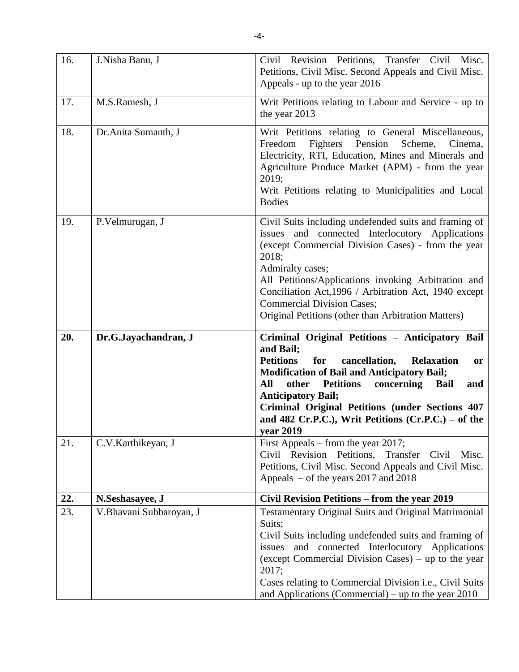| 16. | J.Nisha Banu, J      | Revision Petitions, Transfer Civil Misc.<br>Civil<br>Petitions, Civil Misc. Second Appeals and Civil Misc.<br>Appeals - up to the year 2016                                                                                                                                                                                                                                                             |
|-----|----------------------|---------------------------------------------------------------------------------------------------------------------------------------------------------------------------------------------------------------------------------------------------------------------------------------------------------------------------------------------------------------------------------------------------------|
| 17. | M.S.Ramesh, J        | Writ Petitions relating to Labour and Service - up to<br>the year 2013                                                                                                                                                                                                                                                                                                                                  |
| 18. | Dr.Anita Sumanth, J  | Writ Petitions relating to General Miscellaneous,<br>Pension<br>Freedom<br><b>Fighters</b><br>Scheme,<br>Cinema,<br>Electricity, RTI, Education, Mines and Minerals and<br>Agriculture Produce Market (APM) - from the year<br>2019;<br>Writ Petitions relating to Municipalities and Local<br><b>Bodies</b>                                                                                            |
| 19. | P.Velmurugan, J      | Civil Suits including undefended suits and framing of<br>issues and connected Interlocutory Applications<br>(except Commercial Division Cases) - from the year<br>2018;<br>Admiralty cases;<br>All Petitions/Applications invoking Arbitration and<br>Conciliation Act, 1996 / Arbitration Act, 1940 except<br><b>Commercial Division Cases;</b><br>Original Petitions (other than Arbitration Matters) |
| 20. | Dr.G.Jayachandran, J | Criminal Original Petitions - Anticipatory Bail<br>and Bail;<br><b>Petitions</b><br>for<br>cancellation,<br><b>Relaxation</b><br><b>or</b><br><b>Modification of Bail and Anticipatory Bail;</b><br>concerning<br>All<br>other<br><b>Petitions</b><br>Bail<br>and<br><b>Anticipatory Bail;</b>                                                                                                          |
|     |                      | <b>Criminal Original Petitions (under Sections 407</b><br>and 482 Cr.P.C.), Writ Petitions $(Cr.P.C.) - of the$                                                                                                                                                                                                                                                                                         |
| 21. | C.V.Karthikeyan, J   | year 2019<br>First Appeals – from the year 2017;<br>Civil Revision Petitions,<br>Transfer<br>Civil<br>Misc.<br>Petitions, Civil Misc. Second Appeals and Civil Misc.<br>Appeals $-$ of the years 2017 and 2018                                                                                                                                                                                          |
| 22. | N.Seshasayee, J      | Civil Revision Petitions - from the year 2019<br>Testamentary Original Suits and Original Matrimonial                                                                                                                                                                                                                                                                                                   |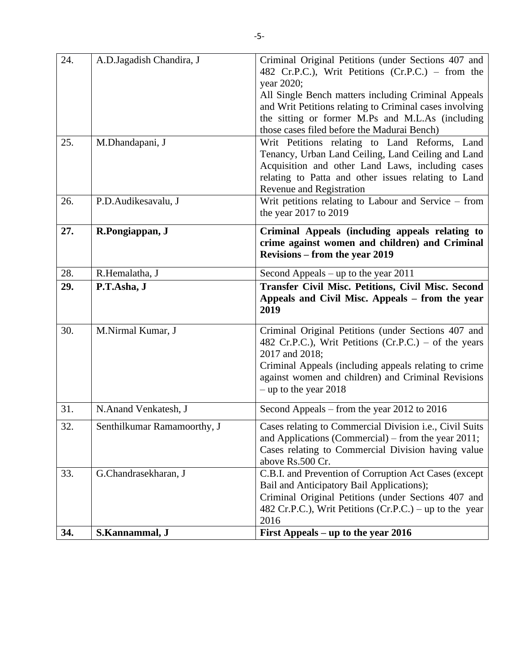| 24. | A.D.Jagadish Chandira, J    | Criminal Original Petitions (under Sections 407 and<br>482 Cr.P.C.), Writ Petitions (Cr.P.C.) – from the<br>year 2020;<br>All Single Bench matters including Criminal Appeals<br>and Writ Petitions relating to Criminal cases involving<br>the sitting or former M.Ps and M.L.As (including<br>those cases filed before the Madurai Bench) |
|-----|-----------------------------|---------------------------------------------------------------------------------------------------------------------------------------------------------------------------------------------------------------------------------------------------------------------------------------------------------------------------------------------|
| 25. | M.Dhandapani, J             | Writ Petitions relating to Land Reforms, Land<br>Tenancy, Urban Land Ceiling, Land Ceiling and Land<br>Acquisition and other Land Laws, including cases<br>relating to Patta and other issues relating to Land<br>Revenue and Registration                                                                                                  |
| 26. | P.D.Audikesavalu, J         | Writ petitions relating to Labour and Service - from<br>the year 2017 to 2019                                                                                                                                                                                                                                                               |
| 27. | R.Pongiappan, J             | Criminal Appeals (including appeals relating to<br>crime against women and children) and Criminal<br><b>Revisions – from the year 2019</b>                                                                                                                                                                                                  |
| 28. | R.Hemalatha, J              | Second Appeals – up to the year $2011$                                                                                                                                                                                                                                                                                                      |
| 29. | P.T.Asha, J                 | Transfer Civil Misc. Petitions, Civil Misc. Second<br>Appeals and Civil Misc. Appeals – from the year<br>2019                                                                                                                                                                                                                               |
| 30. | M.Nirmal Kumar, J           | Criminal Original Petitions (under Sections 407 and<br>482 Cr.P.C.), Writ Petitions (Cr.P.C.) – of the years<br>2017 and 2018;<br>Criminal Appeals (including appeals relating to crime<br>against women and children) and Criminal Revisions<br>$-$ up to the year 2018                                                                    |
| 31. | N.Anand Venkatesh, J        | Second Appeals – from the year 2012 to 2016                                                                                                                                                                                                                                                                                                 |
| 32. | Senthilkumar Ramamoorthy, J | Cases relating to Commercial Division <i>i.e.</i> , Civil Suits<br>and Applications (Commercial) – from the year $2011$ ;<br>Cases relating to Commercial Division having value<br>above Rs.500 Cr.                                                                                                                                         |
| 33. | G.Chandrasekharan, J        | C.B.I. and Prevention of Corruption Act Cases (except<br>Bail and Anticipatory Bail Applications);<br>Criminal Original Petitions (under Sections 407 and<br>482 Cr.P.C.), Writ Petitions (Cr.P.C.) – up to the year<br>2016                                                                                                                |
| 34. | S.Kannammal, J              | First Appeals – up to the year 2016                                                                                                                                                                                                                                                                                                         |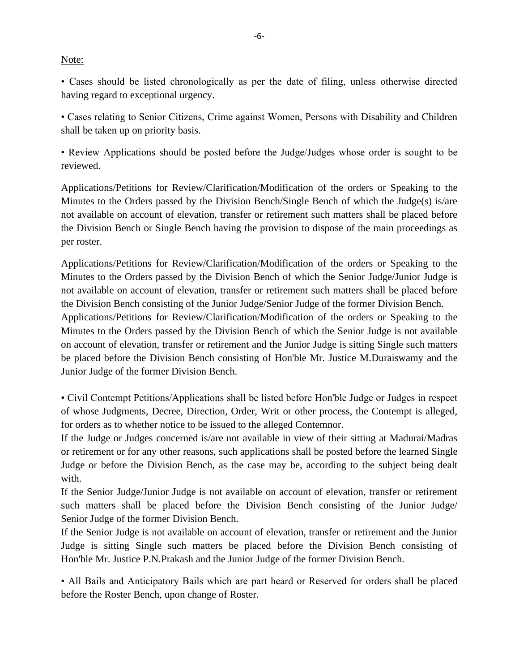## Note:

• Cases should be listed chronologically as per the date of filing, unless otherwise directed having regard to exceptional urgency.

• Cases relating to Senior Citizens, Crime against Women, Persons with Disability and Children shall be taken up on priority basis.

• Review Applications should be posted before the Judge/Judges whose order is sought to be reviewed.

Applications/Petitions for Review/Clarification/Modification of the orders or Speaking to the Minutes to the Orders passed by the Division Bench/Single Bench of which the Judge(s) is/are not available on account of elevation, transfer or retirement such matters shall be placed before the Division Bench or Single Bench having the provision to dispose of the main proceedings as per roster.

Applications/Petitions for Review/Clarification/Modification of the orders or Speaking to the Minutes to the Orders passed by the Division Bench of which the Senior Judge/Junior Judge is not available on account of elevation, transfer or retirement such matters shall be placed before the Division Bench consisting of the Junior Judge/Senior Judge of the former Division Bench.

Applications/Petitions for Review/Clarification/Modification of the orders or Speaking to the Minutes to the Orders passed by the Division Bench of which the Senior Judge is not available on account of elevation, transfer or retirement and the Junior Judge is sitting Single such matters be placed before the Division Bench consisting of Hon'ble Mr. Justice M.Duraiswamy and the Junior Judge of the former Division Bench.

• Civil Contempt Petitions/Applications shall be listed before Hon'ble Judge or Judges in respect of whose Judgments, Decree, Direction, Order, Writ or other process, the Contempt is alleged, for orders as to whether notice to be issued to the alleged Contemnor.

If the Judge or Judges concerned is/are not available in view of their sitting at Madurai/Madras or retirement or for any other reasons, such applications shall be posted before the learned Single Judge or before the Division Bench, as the case may be, according to the subject being dealt with.

If the Senior Judge/Junior Judge is not available on account of elevation, transfer or retirement such matters shall be placed before the Division Bench consisting of the Junior Judge/ Senior Judge of the former Division Bench.

If the Senior Judge is not available on account of elevation, transfer or retirement and the Junior Judge is sitting Single such matters be placed before the Division Bench consisting of Hon'ble Mr. Justice P.N.Prakash and the Junior Judge of the former Division Bench.

• All Bails and Anticipatory Bails which are part heard or Reserved for orders shall be placed before the Roster Bench, upon change of Roster.